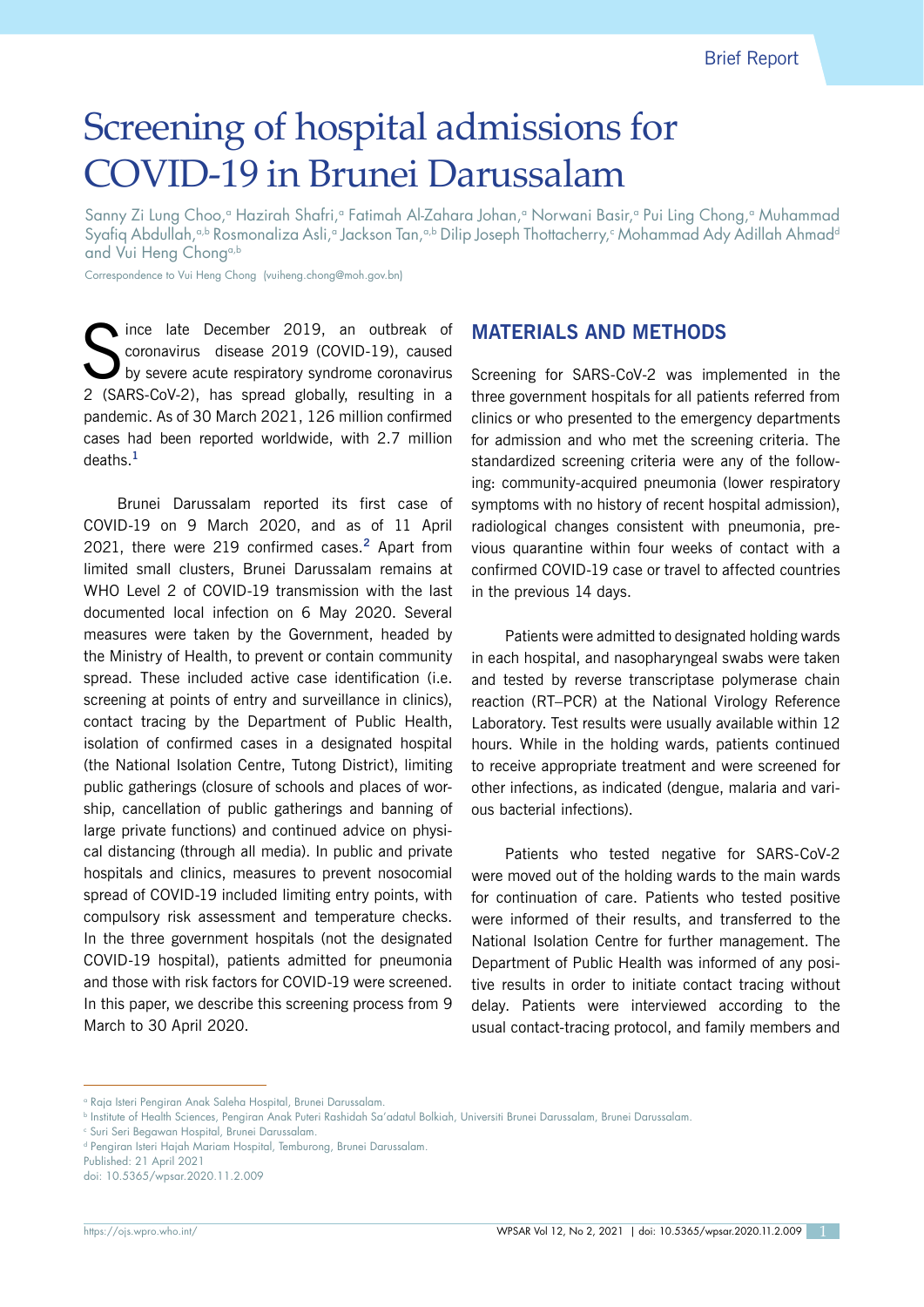# Screening of hospital admissions for COVID-19 in Brunei Darussalam

Sanny Zi Lung Choo,<sup>a</sup> Hazirah Shafri,<sup>a</sup> Fatimah Al-Zahara Johan,<sup>a</sup> Norwani Basir,<sup>a</sup> Pui Ling Chong,<sup>a</sup> Muhammad Syafiq Abdullah,ª,b Rosmonaliza Asli,ª Jackson Tan,ª,b Dilip Joseph Thottacherry,° Mohammad Ady Adillah Ahmadª and Vui Heng Chong<sup>a,b</sup>

Correspondence to Vui Heng Chong (vuiheng.chong@moh.gov.bn)

Since late December 2019, an outbreak of<br>coronavirus disease 2019 (COVID-19), caused<br>by severe acute respiratory syndrome coronavirus coronavirus disease 2019 (COVID-19), caused by severe acute respiratory syndrome coronavirus 2 (SARS-CoV-2), has spread globally, resulting in a pandemic. As of 30 March 2021, 126 million confirmed cases had been reported worldwide, with 2.7 million deaths.**<sup>1</sup>**

Brunei Darussalam reported its first case of COVID-19 on 9 March 2020, and as of 11 April 2021, there were 219 confirmed cases.**<sup>2</sup>** Apart from limited small clusters, Brunei Darussalam remains at WHO Level 2 of COVID-19 transmission with the last documented local infection on 6 May 2020. Several measures were taken by the Government, headed by the Ministry of Health, to prevent or contain community spread. These included active case identification (i.e. screening at points of entry and surveillance in clinics), contact tracing by the Department of Public Health, isolation of confirmed cases in a designated hospital (the National Isolation Centre, Tutong District), limiting public gatherings (closure of schools and places of worship, cancellation of public gatherings and banning of large private functions) and continued advice on physical distancing (through all media). In public and private hospitals and clinics, measures to prevent nosocomial spread of COVID-19 included limiting entry points, with compulsory risk assessment and temperature checks. In the three government hospitals (not the designated COVID-19 hospital), patients admitted for pneumonia and those with risk factors for COVID-19 were screened. In this paper, we describe this screening process from 9 March to 30 April 2020.

## **MATERIALS AND METHODS**

Screening for SARS-CoV-2 was implemented in the three government hospitals for all patients referred from clinics or who presented to the emergency departments for admission and who met the screening criteria. The standardized screening criteria were any of the following: community-acquired pneumonia (lower respiratory symptoms with no history of recent hospital admission), radiological changes consistent with pneumonia, previous quarantine within four weeks of contact with a confirmed COVID-19 case or travel to affected countries in the previous 14 days.

Patients were admitted to designated holding wards in each hospital, and nasopharyngeal swabs were taken and tested by reverse transcriptase polymerase chain reaction (RT–PCR) at the National Virology Reference Laboratory. Test results were usually available within 12 hours. While in the holding wards, patients continued to receive appropriate treatment and were screened for other infections, as indicated (dengue, malaria and various bacterial infections).

Patients who tested negative for SARS-CoV-2 were moved out of the holding wards to the main wards for continuation of care. Patients who tested positive were informed of their results, and transferred to the National Isolation Centre for further management. The Department of Public Health was informed of any positive results in order to initiate contact tracing without delay. Patients were interviewed according to the usual contact-tracing protocol, and family members and

a Raja Isteri Pengiran Anak Saleha Hospital, Brunei Darussalam.

b Institute of Health Sciences, Pengiran Anak Puteri Rashidah Sa'adatul Bolkiah, Universiti Brunei Darussalam, Brunei Darussalam.

c Suri Seri Begawan Hospital, Brunei Darussalam.

d Pengiran Isteri Hajah Mariam Hospital, Temburong, Brunei Darussalam.

Published: 21 April 2021

doi: 10.5365/wpsar.2020.11.2.009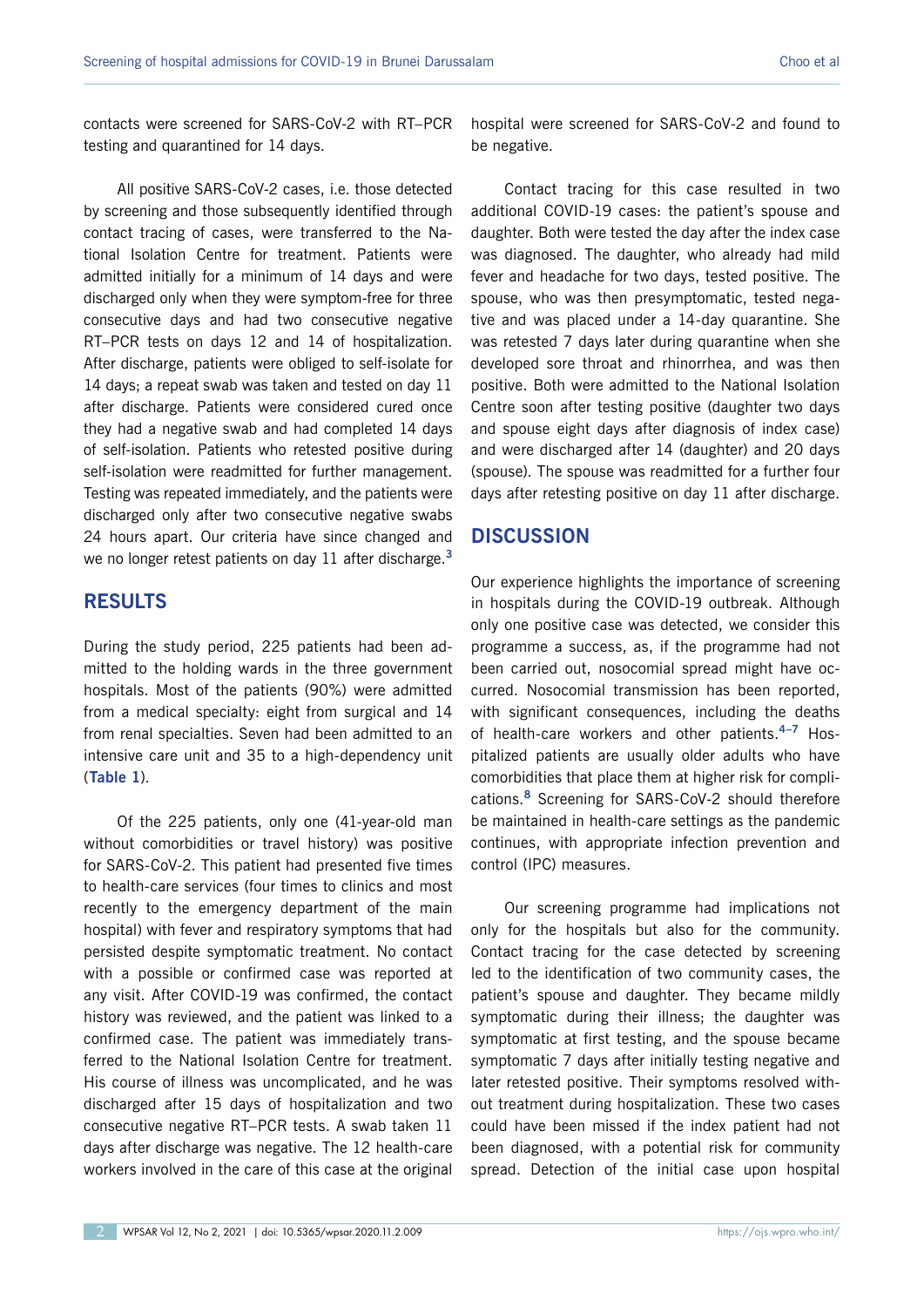contacts were screened for SARS-CoV-2 with RT–PCR testing and quarantined for 14 days.

All positive SARS-CoV-2 cases, i.e. those detected by screening and those subsequently identified through contact tracing of cases, were transferred to the National Isolation Centre for treatment. Patients were admitted initially for a minimum of 14 days and were discharged only when they were symptom-free for three consecutive days and had two consecutive negative RT–PCR tests on days 12 and 14 of hospitalization. After discharge, patients were obliged to self-isolate for 14 days; a repeat swab was taken and tested on day 11 after discharge. Patients were considered cured once they had a negative swab and had completed 14 days of self-isolation. Patients who retested positive during self-isolation were readmitted for further management. Testing was repeated immediately, and the patients were discharged only after two consecutive negative swabs 24 hours apart. Our criteria have since changed and we no longer retest patients on day 11 after discharge.**<sup>3</sup>**

## **RESULTS**

During the study period, 225 patients had been admitted to the holding wards in the three government hospitals. Most of the patients (90%) were admitted from a medical specialty: eight from surgical and 14 from renal specialties. Seven had been admitted to an intensive care unit and 35 to a high-dependency unit (**[Table 1](http://Table 1)**).

Of the 225 patients, only one (41-year-old man without comorbidities or travel history) was positive for SARS-CoV-2. This patient had presented five times to health-care services (four times to clinics and most recently to the emergency department of the main hospital) with fever and respiratory symptoms that had persisted despite symptomatic treatment. No contact with a possible or confirmed case was reported at any visit. After COVID-19 was confirmed, the contact history was reviewed, and the patient was linked to a confirmed case. The patient was immediately transferred to the National Isolation Centre for treatment. His course of illness was uncomplicated, and he was discharged after 15 days of hospitalization and two consecutive negative RT–PCR tests. A swab taken 11 days after discharge was negative. The 12 health-care workers involved in the care of this case at the original hospital were screened for SARS-CoV-2 and found to be negative.

Contact tracing for this case resulted in two additional COVID-19 cases: the patient's spouse and daughter. Both were tested the day after the index case was diagnosed. The daughter, who already had mild fever and headache for two days, tested positive. The spouse, who was then presymptomatic, tested negative and was placed under a 14-day quarantine. She was retested 7 days later during quarantine when she developed sore throat and rhinorrhea, and was then positive. Both were admitted to the National Isolation Centre soon after testing positive (daughter two days and spouse eight days after diagnosis of index case) and were discharged after 14 (daughter) and 20 days (spouse). The spouse was readmitted for a further four days after retesting positive on day 11 after discharge.

# **DISCUSSION**

Our experience highlights the importance of screening in hospitals during the COVID-19 outbreak. Although only one positive case was detected, we consider this programme a success, as, if the programme had not been carried out, nosocomial spread might have occurred. Nosocomial transmission has been reported, with significant consequences, including the deaths of health-care workers and other patients.**4–7** Hospitalized patients are usually older adults who have comorbidities that place them at higher risk for complications.**<sup>8</sup>** Screening for SARS-CoV-2 should therefore be maintained in health-care settings as the pandemic continues, with appropriate infection prevention and control (IPC) measures.

Our screening programme had implications not only for the hospitals but also for the community. Contact tracing for the case detected by screening led to the identification of two community cases, the patient's spouse and daughter. They became mildly symptomatic during their illness; the daughter was symptomatic at first testing, and the spouse became symptomatic 7 days after initially testing negative and later retested positive. Their symptoms resolved without treatment during hospitalization. These two cases could have been missed if the index patient had not been diagnosed, with a potential risk for community spread. Detection of the initial case upon hospital